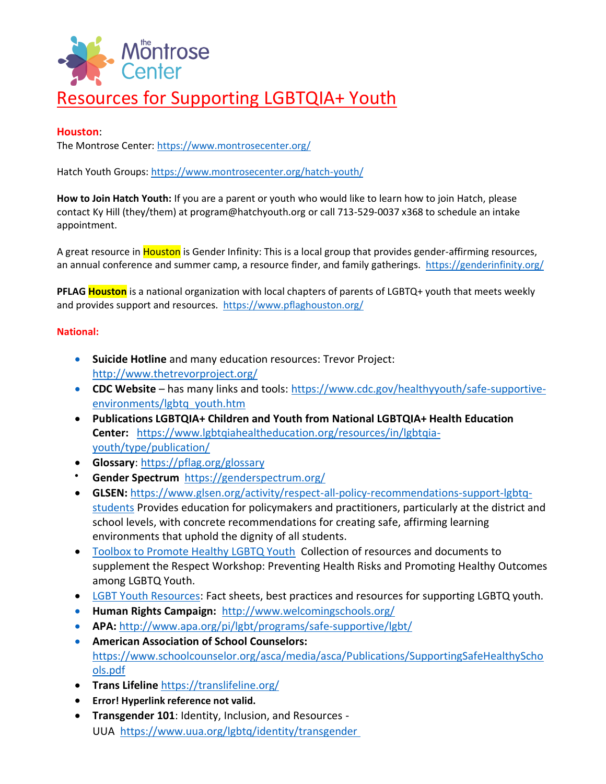

## Resources for Supporting LGBTQIA+ Youth

## **Houston**:

The Montrose Center: https://www.montrosecenter.org/

Hatch Youth Groups: https://www.montrosecenter.org/hatch-youth/

**How to Join Hatch Youth:** If you are a parent or youth who would like to learn how to join Hatch, please contact Ky Hill (they/them) at program@hatchyouth.org or call 713-529-0037 x368 to schedule an intake appointment.

A great resource in Houston is Gender Infinity: This is a local group that provides gender-affirming resources, an annual conference and summer camp, a resource finder, and family gatherings. https://genderinfinity.org/

**PFLAG Houston** is a national organization with local chapters of parents of LGBTQ+ youth that meets weekly and provides support and resources. https://www.pflaghouston.org/

## **National:**

- **Suicide Hotline** and many education resources: Trevor Project: http://www.thetrevorproject.org/
- **CDC Website** has many links and tools: https://www.cdc.gov/healthyyouth/safe-supportiveenvironments/lgbtq\_youth.htm
- **Publications LGBTQIA+ Children and Youth from National LGBTQIA+ Health Education Center:** https://www.lgbtqiahealtheducation.org/resources/in/lgbtqiayouth/type/publication/
- **Glossary**: https://pflag.org/glossary
- **Gender Spectrum** https://genderspectrum.org/
- **GLSEN:** https://www.glsen.org/activity/respect-all-policy-recommendations-support-lgbtqstudents Provides education for policymakers and practitioners, particularly at the district and school levels, with concrete recommendations for creating safe, affirming learning environments that uphold the dignity of all students.
- Toolbox to Promote Healthy LGBTQ Youth Collection of resources and documents to supplement the Respect Workshop: Preventing Health Risks and Promoting Healthy Outcomes among LGBTQ Youth.
- LGBT Youth Resources: Fact sheets, best practices and resources for supporting LGBTQ youth.
- **Human Rights Campaign:** http://www.welcomingschools.org/
- **APA:** http://www.apa.org/pi/lgbt/programs/safe-supportive/lgbt/
- **American Association of School Counselors:**  https://www.schoolcounselor.org/asca/media/asca/Publications/SupportingSafeHealthyScho ols.pdf
- **Trans Lifeline** https://translifeline.org/
- **Error! Hyperlink reference not valid.**
- **Transgender 101**: Identity, Inclusion, and Resources UUA https://www.uua.org/lgbtq/identity/transgender